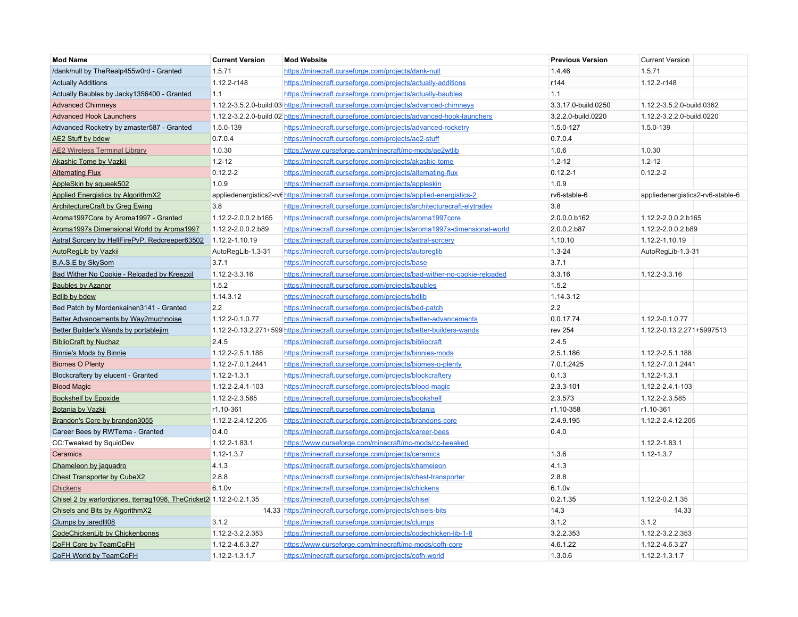| <b>Mod Name</b>                                                    | <b>Current Version</b> | <b>Mod Website</b>                                                                        | <b>Previous Version</b> | <b>Current Version</b>           |  |
|--------------------------------------------------------------------|------------------------|-------------------------------------------------------------------------------------------|-------------------------|----------------------------------|--|
| /dank/null by TheRealp455w0rd - Granted                            | 1.5.71                 | https://minecraft.curseforge.com/projects/dank-null                                       | 1.4.46                  | 1.5.71                           |  |
| <b>Actually Additions</b>                                          | 1.12.2-r148            | https://minecraft.curseforge.com/projects/actually-additions                              | r144                    | 1.12.2-r148                      |  |
| Actually Baubles by Jacky1356400 - Granted                         | 1.1                    | https://minecraft.curseforge.com/projects/actually-baubles                                | 1.1                     |                                  |  |
| <b>Advanced Chimneys</b>                                           |                        | 1.12.2-3.5.2.0-build.03 https://minecraft.curseforge.com/projects/advanced-chimneys       | 3.3.17.0-build.0250     | 1.12.2-3.5.2.0-build.0362        |  |
| <b>Advanced Hook Launchers</b>                                     |                        | 1.12.2-3.2.2.0-build.02 https://minecraft.curseforge.com/projects/advanced-hook-launchers | 3.2.2.0-build.0220      | 1.12.2-3.2.2.0-build.0220        |  |
| Advanced Rocketry by zmaster587 - Granted                          | 1.5.0-139              | https://minecraft.curseforge.com/projects/advanced-rocketry                               | 1.5.0-127               | 1.5.0-139                        |  |
| AE2 Stuff by bdew                                                  | 0.7.0.4                | https://minecraft.curseforge.com/projects/ae2-stuff                                       | 0.7.0.4                 |                                  |  |
| <b>AE2 Wireless Terminal Library</b>                               | 1.0.30                 | https://www.curseforge.com/minecraft/mc-mods/ae2wtlib                                     | 1.0.6                   | 1.0.30                           |  |
| Akashic Tome by Vazkii                                             | $1.2 - 12$             | https://minecraft.curseforge.com/projects/akashic-tome                                    | $1.2 - 12$              | $1.2 - 12$                       |  |
| <b>Alternating Flux</b>                                            | $0.12.2 - 2$           | https://minecraft.curseforge.com/projects/alternating-flux                                | $0.12.2 - 1$            | $0.12.2 - 2$                     |  |
| AppleSkin by squeek502                                             | 1.0.9                  | https://minecraft.curseforge.com/projects/appleskin                                       | 1.0.9                   |                                  |  |
| <b>Applied Energistics by AlgorithmX2</b>                          |                        | appliedenergistics2-rv( https://minecraft.curseforge.com/projects/applied-energistics-2   | rv6-stable-6            | appliedenergistics2-rv6-stable-6 |  |
| <b>ArchitectureCraft by Greg Ewing</b>                             | 3.8                    | https://minecraft.curseforge.com/projects/architecturecraft-elytradev                     | 3.8                     |                                  |  |
| Aroma1997Core by Aroma1997 - Granted                               | 1.12.2-2.0.0.2.b165    | https://minecraft.curseforge.com/projects/aroma1997core                                   | 2.0.0.0.b162            | 1.12.2-2.0.0.2.b165              |  |
| Aroma1997s Dimensional World by Aroma1997                          | 1.12.2-2.0.0.2.b89     | https://minecraft.curseforge.com/projects/aroma1997s-dimensional-world                    | 2.0.0.2.b87             | 1.12.2-2.0.0.2.b89               |  |
| Astral Sorcery by HellFirePvP, Redcreeper63502                     | 1.12.2-1.10.19         | https://minecraft.curseforge.com/projects/astral-sorcery                                  | 1.10.10                 | 1.12.2-1.10.19                   |  |
| <b>AutoRegLib by Vazkii</b>                                        | AutoRegLib-1.3-31      | https://minecraft.curseforge.com/projects/autoreglib                                      | $1.3 - 24$              | AutoRegLib-1.3-31                |  |
| <b>B.A.S.E by SkySom</b>                                           | 3.7.1                  | https://minecraft.curseforge.com/projects/base                                            | 3.7.1                   |                                  |  |
| Bad Wither No Cookie - Reloaded by Kreezxil                        | 1.12.2-3.3.16          | https://minecraft.curseforge.com/projects/bad-wither-no-cookie-reloaded                   | 3.3.16                  | 1.12.2-3.3.16                    |  |
| <b>Baubles by Azanor</b>                                           | 1.5.2                  | https://minecraft.curseforge.com/projects/baubles                                         | 1.5.2                   |                                  |  |
| <b>Bdlib by bdew</b>                                               | 1.14.3.12              | https://minecraft.curseforge.com/projects/bdlib                                           | 1.14.3.12               |                                  |  |
| Bed Patch by Mordenkainen3141 - Granted                            | 2.2                    | https://minecraft.curseforge.com/projects/bed-patch                                       | 2.2                     |                                  |  |
| Better Advancements by Way2muchnoise                               | 1.12.2-0.1.0.77        | https://minecraft.curseforge.com/projects/better-advancements                             | 0.0.17.74               | 1.12.2-0.1.0.77                  |  |
| Better Builder's Wands by portablejim                              |                        | 1.12.2-0.13.2.271+599 https://minecraft.curseforge.com/projects/better-builders-wands     | rev 254                 | 1.12.2-0.13.2.271+5997513        |  |
| <b>BiblioCraft by Nuchaz</b>                                       | 2.4.5                  | https://minecraft.curseforge.com/projects/bibliocraft                                     | 2.4.5                   |                                  |  |
| <b>Binnie's Mods by Binnie</b>                                     | 1.12.2-2.5.1.188       | https://minecraft.curseforge.com/projects/binnies-mods                                    | 2.5.1.186               | 1.12.2-2.5.1.188                 |  |
| <b>Biomes O Plenty</b>                                             | 1.12.2-7.0.1.2441      | https://minecraft.curseforge.com/projects/biomes-o-plenty                                 | 7.0.1.2425              | 1.12.2-7.0.1.2441                |  |
| Blockcraftery by elucent - Granted                                 | 1.12.2-1.3.1           | https://minecraft.curseforge.com/projects/blockcraftery                                   | 0.1.3                   | 1.12.2-1.3.1                     |  |
| <b>Blood Magic</b>                                                 | 1.12.2-2.4.1-103       | https://minecraft.curseforge.com/projects/blood-magic                                     | 2.3.3-101               | 1.12.2-2.4.1-103                 |  |
| <b>Bookshelf by Epoxide</b>                                        | 1.12.2-2.3.585         | https://minecraft.curseforge.com/projects/bookshelf                                       | 2.3.573                 | 1.12.2-2.3.585                   |  |
| Botania by Vazkii                                                  | r1.10-361              | https://minecraft.curseforge.com/projects/botania                                         | r1.10-358               | r1.10-361                        |  |
| Brandon's Core by brandon3055                                      | 1.12.2-2.4.12.205      | https://minecraft.curseforge.com/projects/brandons-core                                   | 2.4.9.195               | 1.12.2-2.4.12.205                |  |
| Career Bees by RWTema - Granted                                    | 0.4.0                  | https://minecraft.curseforge.com/projects/career-bees                                     | 0.4.0                   |                                  |  |
| CC: Tweaked by SquidDev                                            | 1.12.2-1.83.1          | https://www.curseforge.com/minecraft/mc-mods/cc-tweaked                                   |                         | 1.12.2-1.83.1                    |  |
| Ceramics                                                           | $1.12 - 1.3.7$         | https://minecraft.curseforge.com/projects/ceramics                                        | 1.3.6                   | $1.12 - 1.3.7$                   |  |
| Chameleon by jaquadro                                              | 4.1.3                  | https://minecraft.curseforge.com/projects/chameleon                                       | 4.1.3                   |                                  |  |
| <b>Chest Transporter by CubeX2</b>                                 | 2.8.8                  | https://minecraft.curseforge.com/projects/chest-transporter                               | 2.8.8                   |                                  |  |
| Chickens                                                           | 6.1.0v                 | https://minecraft.curseforge.com/projects/chickens                                        | 6.1.0v                  |                                  |  |
| Chisel 2 by warlordjones, tterrag1098, TheCricket2(1.12.2-0.2.1.35 |                        | https://minecraft.curseforge.com/projects/chisel                                          | 0.2.1.35                | 1.12.2-0.2.1.35                  |  |
| Chisels and Bits by AlgorithmX2                                    |                        | 14.33 https://minecraft.curseforge.com/projects/chisels-bits                              | 14.3                    | 14.33                            |  |
| Clumps by jaredlll08                                               | 3.1.2                  | https://minecraft.curseforge.com/projects/clumps                                          | 3.1.2                   | 3.1.2                            |  |
| CodeChickenLib by Chickenbones                                     | 1.12.2-3.2.2.353       | https://minecraft.curseforge.com/projects/codechicken-lib-1-8                             | 3.2.2.353               | 1.12.2-3.2.2.353                 |  |
| CoFH Core by TeamCoFH                                              | 1.12.2-4.6.3.27        | https://www.curseforge.com/minecraft/mc-mods/cofh-core                                    | 4.6.1.22                | 1.12.2-4.6.3.27                  |  |
| CoFH World by TeamCoFH                                             | 1.12.2-1.3.1.7         | https://minecraft.curseforge.com/projects/cofh-world                                      | 1.3.0.6                 | 1.12.2-1.3.1.7                   |  |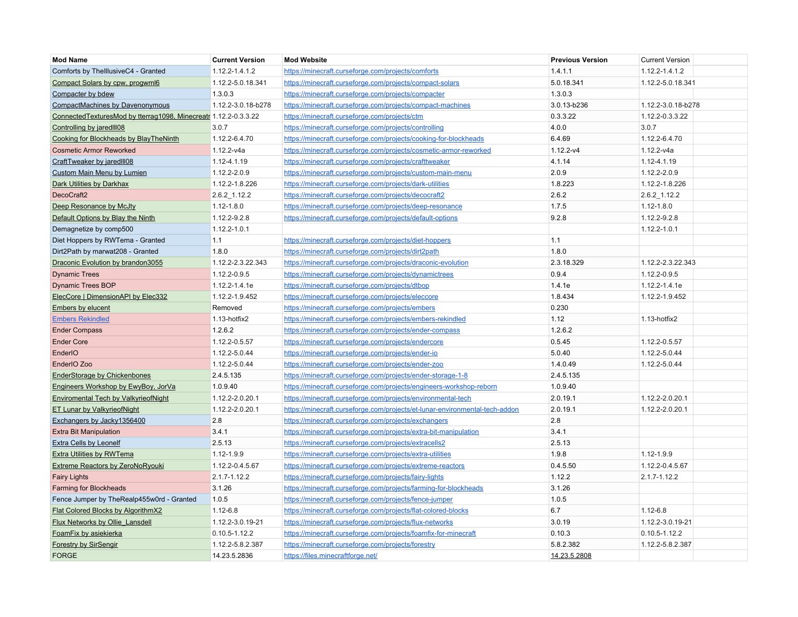| <b>Mod Name</b>                                                 | <b>Current Version</b> | <b>Mod Website</b>                                                          | <b>Previous Version</b> | <b>Current Version</b> |
|-----------------------------------------------------------------|------------------------|-----------------------------------------------------------------------------|-------------------------|------------------------|
| Comforts by ThelllusiveC4 - Granted                             | 1.12.2-1.4.1.2         | https://minecraft.curseforge.com/projects/comforts                          | 1.4.1.1                 | 1.12.2-1.4.1.2         |
| Compact Solars by cpw, progwml6                                 | 1.12.2-5.0.18.341      | https://minecraft.curseforge.com/projects/compact-solars                    | 5.0.18.341              | 1.12.2-5.0.18.341      |
| Compacter by bdew                                               | 1.3.0.3                | https://minecraft.curseforge.com/projects/compacter                         | 1.3.0.3                 |                        |
| CompactMachines by Davenonymous                                 | 1.12.2-3.0.18-b278     | https://minecraft.curseforge.com/projects/compact-machines                  | 3.0.13-b236             | 1.12.2-3.0.18-b278     |
| ConnectedTexturesMod by tterrag1098, Minecreatr 1.12.2-0.3.3.22 |                        | https://minecraft.curseforge.com/projects/ctm                               | 0.3.3.22                | 1.12.2-0.3.3.22        |
| Controlling by jared 108                                        | 3.0.7                  | https://minecraft.curseforge.com/projects/controlling                       | 4.0.0                   | 3.0.7                  |
| Cooking for Blockheads by BlayTheNinth                          | 1.12.2-6.4.70          | https://minecraft.curseforge.com/projects/cooking-for-blockheads            | 6.4.69                  | 1.12.2-6.4.70          |
| <b>Cosmetic Armor Reworked</b>                                  | $1.12.2 - v4a$         | https://minecraft.curseforge.com/projects/cosmetic-armor-reworked           | $1.12.2-v4$             | $1.12.2-v4a$           |
| CraftTweaker by jared III08                                     | 1.12-4.1.19            | https://minecraft.curseforge.com/projects/crafttweaker                      | 4.1.14                  | 1.12-4.1.19            |
| <b>Custom Main Menu by Lumien</b>                               | 1.12.2-2.0.9           | https://minecraft.curseforge.com/projects/custom-main-menu                  | 2.0.9                   | 1.12.2-2.0.9           |
| <b>Dark Utilities by Darkhax</b>                                | 1.12.2-1.8.226         | https://minecraft.curseforge.com/projects/dark-utilities                    | 1.8.223                 | 1.12.2-1.8.226         |
| DecoCraft2                                                      | 2.6.2_1.12.2           | https://minecraft.curseforge.com/projects/decocraft2                        | 2.6.2                   | $2.6.2 - 1.12.2$       |
| Deep Resonance by McJty                                         | 1.12-1.8.0             | https://minecraft.curseforge.com/projects/deep-resonance                    | 1.7.5                   | $1.12 - 1.80$          |
| Default Options by Blay the Ninth                               | 1.12.2-9.2.8           | https://minecraft.curseforge.com/projects/default-options                   | 9.2.8                   | 1.12.2-9.2.8           |
| Demagnetize by comp500                                          | 1.12.2-1.0.1           |                                                                             |                         | 1.12.2-1.0.1           |
| Diet Hoppers by RWTema - Granted                                | 1.1                    | https://minecraft.curseforge.com/projects/diet-hoppers                      | 1.1                     |                        |
| Dirt2Path by marwat208 - Granted                                | 1.8.0                  | https://minecraft.curseforge.com/projects/dirt2path                         | 1.8.0                   |                        |
| Draconic Evolution by brandon3055                               | 1.12.2-2.3.22.343      | https://minecraft.curseforge.com/projects/draconic-evolution                | 2.3.18.329              | 1.12.2-2.3.22.343      |
| <b>Dynamic Trees</b>                                            | 1.12.2-0.9.5           | https://minecraft.curseforge.com/projects/dynamictrees                      | 0.9.4                   | 1.12.2-0.9.5           |
| <b>Dynamic Trees BOP</b>                                        | 1.12.2-1.4.1e          | https://minecraft.curseforge.com/projects/dtbop                             | 1.4.1e                  | 1.12.2-1.4.1e          |
| ElecCore   DimensionAPI by Elec332                              | 1.12.2-1.9.452         | https://minecraft.curseforge.com/projects/eleccore                          | 1.8.434                 | 1.12.2-1.9.452         |
| <b>Embers by elucent</b>                                        | Removed                | https://minecraft.curseforge.com/projects/embers                            | 0.230                   |                        |
| <b>Embers Rekindled</b>                                         | 1.13-hotfix2           | https://minecraft.curseforge.com/projects/embers-rekindled                  | 1.12                    | 1.13-hotfix2           |
| <b>Ender Compass</b>                                            | 1.2.6.2                | https://minecraft.curseforge.com/projects/ender-compass                     | 1.2.6.2                 |                        |
| <b>Ender Core</b>                                               | 1.12.2-0.5.57          | https://minecraft.curseforge.com/projects/endercore                         | 0.5.45                  | 1.12.2-0.5.57          |
| EnderIO                                                         | 1.12.2-5.0.44          | https://minecraft.curseforge.com/projects/ender-io                          | 5.0.40                  | 1.12.2-5.0.44          |
| EnderIO Zoo                                                     | 1.12.2-5.0.44          | https://minecraft.curseforge.com/projects/ender-zoo                         | 1.4.0.49                | 1.12.2-5.0.44          |
| <b>EnderStorage by Chickenbones</b>                             | 2.4.5.135              | https://minecraft.curseforge.com/projects/ender-storage-1-8                 | 2.4.5.135               |                        |
| Engineers Workshop by EwyBoy, JorVa                             | 1.0.9.40               | https://minecraft.curseforge.com/projects/engineers-workshop-reborn         | 1.0.9.40                |                        |
| <b>Enviromental Tech by ValkyrieofNight</b>                     | 1.12.2-2.0.20.1        | https://minecraft.curseforge.com/projects/environmental-tech                | 2.0.19.1                | 1.12.2-2.0.20.1        |
| <b>ET Lunar by ValkyrieofNight</b>                              | 1.12.2-2.0.20.1        | https://minecraft.curseforge.com/projects/et-lunar-environmental-tech-addon | 2.0.19.1                | 1.12.2-2.0.20.1        |
| Exchangers by Jacky1356400                                      | 2.8                    | https://minecraft.curseforge.com/projects/exchangers                        | 2.8                     |                        |
| <b>Extra Bit Manipulation</b>                                   | 3.4.1                  | https://minecraft.curseforge.com/projects/extra-bit-manipulation            | 3.4.1                   |                        |
| <b>Extra Cells by Leonelf</b>                                   | 2.5.13                 | https://minecraft.curseforge.com/projects/extracells2                       | 2.5.13                  |                        |
| Extra Utilities by RWTema                                       | 1.12-1.9.9             | https://minecraft.curseforge.com/projects/extra-utilities                   | 1.9.8                   | 1.12-1.9.9             |
| <b>Extreme Reactors by ZeroNoRyouki</b>                         | 1.12.2-0.4.5.67        | https://minecraft.curseforge.com/projects/extreme-reactors                  | 0.4.5.50                | 1.12.2-0.4.5.67        |
| <b>Fairy Lights</b>                                             | $2.1.7 - 1.12.2$       | https://minecraft.curseforge.com/projects/fairy-lights                      | 1.12.2                  | $2.1.7 - 1.12.2$       |
| Farming for Blockheads                                          | 3.1.26                 | https://minecraft.curseforge.com/projects/farming-for-blockheads            | 3.1.26                  |                        |
| Fence Jumper by TheRealp455w0rd - Granted                       | 1.0.5                  | https://minecraft.curseforge.com/projects/fence-jumper                      | 1.0.5                   |                        |
| Flat Colored Blocks by AlgorithmX2                              | $1.12 - 6.8$           | https://minecraft.curseforge.com/projects/flat-colored-blocks               | 6.7                     | $1.12 - 6.8$           |
| <b>Flux Networks by Ollie_Lansdell</b>                          | 1.12.2-3.0.19-21       | https://minecraft.curseforge.com/projects/flux-networks                     | 3.0.19                  | 1.12.2-3.0.19-21       |
| FoamFix by asiekierka                                           | $0.10.5 - 1.12.2$      | https://minecraft.curseforge.com/projects/foamfix-for-minecraft             | 0.10.3                  | $0.10.5 - 1.12.2$      |
| <b>Forestry by SirSengir</b>                                    | 1.12.2-5.8.2.387       | https://minecraft.curseforge.com/projects/forestry                          | 5.8.2.382               | 1.12.2-5.8.2.387       |
| <b>FORGE</b>                                                    | 14.23.5.2836           | https://files.minecraftforge.net/                                           | 14.23.5.2808            |                        |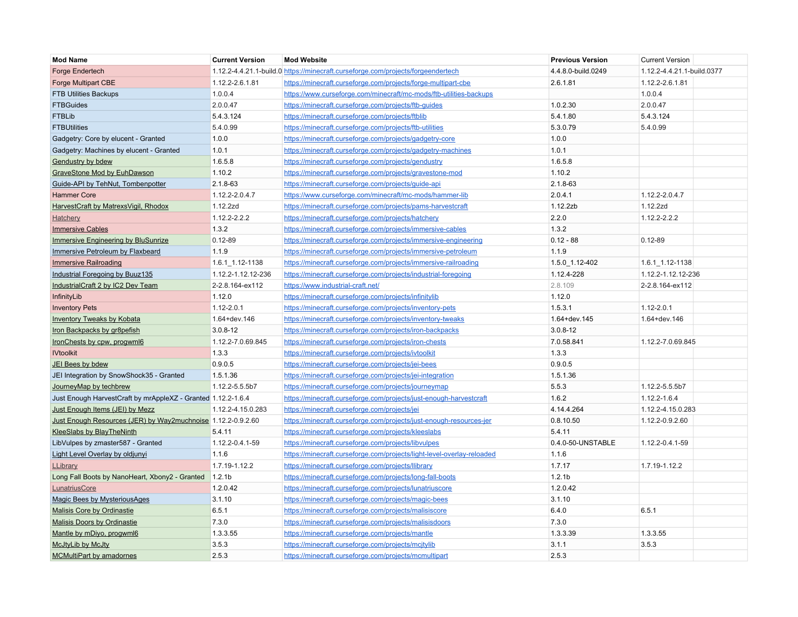| <b>Mod Name</b>                                              | <b>Current Version</b> | <b>Mod Website</b>                                                               | <b>Previous Version</b> | <b>Current Version</b>     |  |
|--------------------------------------------------------------|------------------------|----------------------------------------------------------------------------------|-------------------------|----------------------------|--|
| <b>Forge Endertech</b>                                       |                        | 1.12.2-4.4.21.1-build.0 https://minecraft.curseforge.com/projects/forgeendertech | 4.4.8.0-build.0249      | 1.12.2-4.4.21.1-build.0377 |  |
| <b>Forge Multipart CBE</b>                                   | 1.12.2-2.6.1.81        | https://minecraft.curseforge.com/projects/forge-multipart-cbe                    | 2.6.1.81                | 1.12.2-2.6.1.81            |  |
| <b>FTB Utilities Backups</b>                                 | 1.0.0.4                | https://www.curseforge.com/minecraft/mc-mods/ftb-utilities-backups               |                         | 1.0.0.4                    |  |
| <b>FTBGuides</b>                                             | 2.0.0.47               | https://minecraft.curseforge.com/projects/ftb-guides                             | 1.0.2.30                | 2.0.0.47                   |  |
| <b>FTBLib</b>                                                | 5.4.3.124              | https://minecraft.curseforge.com/projects/ftblib                                 | 5.4.1.80                | 5.4.3.124                  |  |
| <b>FTBUtilities</b>                                          | 5.4.0.99               | https://minecraft.curseforge.com/projects/ftb-utilities                          | 5.3.0.79                | 5.4.0.99                   |  |
| Gadgetry: Core by elucent - Granted                          | 1.0.0                  | https://minecraft.curseforge.com/projects/gadgetry-core                          | 1.0.0                   |                            |  |
| Gadgetry: Machines by elucent - Granted                      | 1.0.1                  | https://minecraft.curseforge.com/projects/gadgetry-machines                      | 1.0.1                   |                            |  |
| <b>Gendustry by bdew</b>                                     | 1.6.5.8                | https://minecraft.curseforge.com/projects/gendustry                              | 1.6.5.8                 |                            |  |
| GraveStone Mod by EuhDawson                                  | 1.10.2                 | https://minecraft.curseforge.com/projects/gravestone-mod                         | 1.10.2                  |                            |  |
| Guide-API by TehNut, Tombenpotter                            | $2.1.8 - 63$           | https://minecraft.curseforge.com/projects/guide-api                              | 2.1.8-63                |                            |  |
| <b>Hammer Core</b>                                           | 1.12.2-2.0.4.7         | https://www.curseforge.com/minecraft/mc-mods/hammer-lib                          | 2.0.4.1                 | 1.12.2-2.0.4.7             |  |
| HarvestCraft by MatrexsVigil, Rhodox                         | 1.12.2zd               | https://minecraft.curseforge.com/projects/pams-harvestcraft                      | 1.12.2zb                | 1.12.2zd                   |  |
| Hatchery                                                     | $1.12.2 - 2.2.2$       | https://minecraft.curseforge.com/projects/hatchery                               | 2.2.0                   | 1.12.2-2.2.2               |  |
| <b>Immersive Cables</b>                                      | 1.3.2                  | https://minecraft.curseforge.com/projects/immersive-cables                       | 1.3.2                   |                            |  |
| <b>Immersive Engineering by BluSunrize</b>                   | $0.12 - 89$            | https://minecraft.curseforge.com/projects/immersive-engineering                  | $0.12 - 88$             | $0.12 - 89$                |  |
| Immersive Petroleum by Flaxbeard                             | 1.1.9                  | https://minecraft.curseforge.com/projects/immersive-petroleum                    | 1.1.9                   |                            |  |
| <b>Immersive Railroading</b>                                 | 1.6.1_1.12-1138        | https://minecraft.curseforge.com/projects/immersive-railroading                  | 1.5.0_1.12-402          | $1.6.1$ $-1.12 - 1138$     |  |
| Industrial Foregoing by Buuz135                              | 1.12.2-1.12.12-236     | https://minecraft.curseforge.com/projects/industrial-foregoing                   | 1.12.4-228              | 1.12.2-1.12.12-236         |  |
| IndustrialCraft 2 by IC2 Dev Team                            | 2-2.8.164-ex112        | https://www.industrial-craft.net/                                                | 2.8.109                 | 2-2.8.164-ex112            |  |
| InfinityLib                                                  | 1.12.0                 | https://minecraft.curseforge.com/projects/infinitylib                            | 1.12.0                  |                            |  |
| <b>Inventory Pets</b>                                        | $1.12 - 2.0.1$         | https://minecraft.curseforge.com/projects/inventory-pets                         | 1.5.3.1                 | $1.12 - 2.0.1$             |  |
| <b>Inventory Tweaks by Kobata</b>                            | 1.64+dev.146           | https://minecraft.curseforge.com/projects/inventory-tweaks                       | 1.64+dev.145            | 1.64+dev.146               |  |
| Iron Backpacks by gr8pefish                                  | $3.0.8 - 12$           | https://minecraft.curseforge.com/projects/iron-backpacks                         | $3.0.8 - 12$            |                            |  |
| IronChests by cpw, progwml6                                  | 1.12.2-7.0.69.845      | https://minecraft.curseforge.com/projects/iron-chests                            | 7.0.58.841              | 1.12.2-7.0.69.845          |  |
| <b>IVtoolkit</b>                                             | 1.3.3                  | https://minecraft.curseforge.com/projects/ivtoolkit                              | 1.3.3                   |                            |  |
| <b>JEI Bees by bdew</b>                                      | 0.9.0.5                | https://minecraft.curseforge.com/projects/jei-bees                               | 0.9.0.5                 |                            |  |
| JEI Integration by SnowShock35 - Granted                     | 1.5.1.36               | https://minecraft.curseforge.com/projects/jei-integration                        | 1.5.1.36                |                            |  |
| JourneyMap by techbrew                                       | 1.12.2-5.5.5b7         | https://minecraft.curseforge.com/projects/journeymap                             | 5.5.3                   | 1.12.2-5.5.5b7             |  |
| Just Enough HarvestCraft by mrAppleXZ - Granted 1.12.2-1.6.4 |                        | https://minecraft.curseforge.com/projects/just-enough-harvestcraft               | 1.6.2                   | 1.12.2-1.6.4               |  |
| Just Enough Items (JEI) by Mezz                              | 1.12.2-4.15.0.283      | https://minecraft.curseforge.com/projects/jei                                    | 4.14.4.264              | 1.12.2-4.15.0.283          |  |
| Just Enough Resources (JER) by Way2muchnoise 1.12.2-0.9.2.60 |                        | https://minecraft.curseforge.com/projects/just-enough-resources-jer              | 0.8.10.50               | 1.12.2-0.9.2.60            |  |
| <b>KleeSlabs by BlayTheNinth</b>                             | 5.4.11                 | https://minecraft.curseforge.com/projects/kleeslabs                              | 5.4.11                  |                            |  |
| LibVulpes by zmaster587 - Granted                            | 1.12.2-0.4.1-59        | https://minecraft.curseforge.com/projects/libvulpes                              | 0.4.0-50-UNSTABLE       | 1.12.2-0.4.1-59            |  |
| Light Level Overlay by oldjunyi                              | 1.1.6                  | https://minecraft.curseforge.com/projects/light-level-overlay-reloaded           | 1.1.6                   |                            |  |
| LLibrary                                                     | 1.7.19-1.12.2          | https://minecraft.curseforge.com/projects/llibrary                               | 1.7.17                  | 1.7.19-1.12.2              |  |
| Long Fall Boots by NanoHeart, Xbony2 - Granted               | 1.2.1 <sub>b</sub>     | https://minecraft.curseforge.com/projects/long-fall-boots                        | 1.2.1 <sub>b</sub>      |                            |  |
| LunatriusCore                                                | 1.2.0.42               | https://minecraft.curseforge.com/projects/lunatriuscore                          | 1.2.0.42                |                            |  |
| <b>Magic Bees by MysteriousAges</b>                          | 3.1.10                 | https://minecraft.curseforge.com/projects/magic-bees                             | 3.1.10                  |                            |  |
| Malisis Core by Ordinastie                                   | 6.5.1                  | https://minecraft.curseforge.com/projects/malisiscore                            | 6.4.0                   | 6.5.1                      |  |
| <b>Malisis Doors by Ordinastie</b>                           | 7.3.0                  | https://minecraft.curseforge.com/projects/malisisdoors                           | 7.3.0                   |                            |  |
| Mantle by mDiyo, progwml6                                    | 1.3.3.55               | https://minecraft.curseforge.com/projects/mantle                                 | 1.3.3.39                | 1.3.3.55                   |  |
| <b>McJtyLib by McJty</b>                                     | 3.5.3                  | https://minecraft.curseforge.com/projects/mcjtylib                               | 3.1.1                   | 3.5.3                      |  |
| <b>MCMultiPart by amadornes</b>                              | 2.5.3                  | https://minecraft.curseforge.com/projects/mcmultipart                            | 2.5.3                   |                            |  |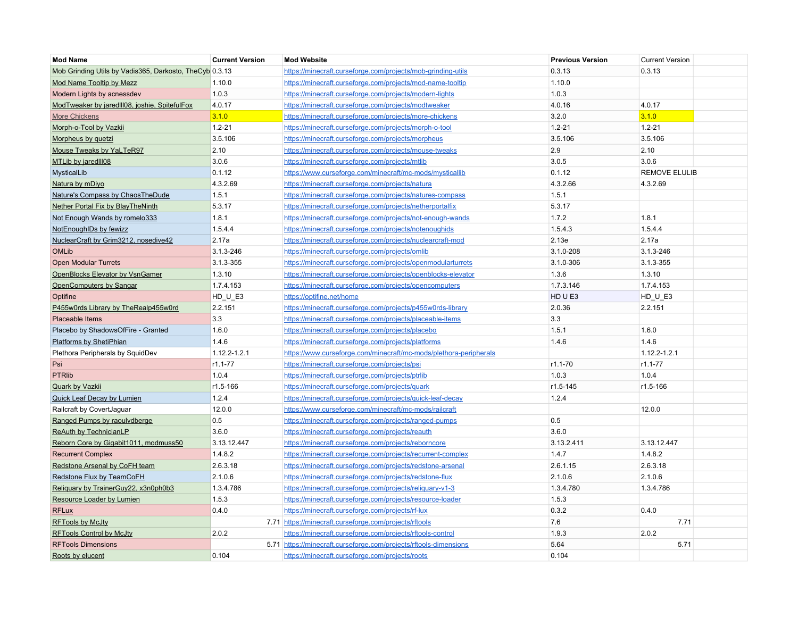| <b>Mod Name</b>                                         | <b>Current Version</b> | <b>Mod Website</b>                                                | <b>Previous Version</b> | <b>Current Version</b> |
|---------------------------------------------------------|------------------------|-------------------------------------------------------------------|-------------------------|------------------------|
| Mob Grinding Utils by Vadis365, Darkosto, TheCyb 0.3.13 |                        | https://minecraft.curseforge.com/projects/mob-grinding-utils      | 0.3.13                  | 0.3.13                 |
| Mod Name Tooltip by Mezz                                | 1.10.0                 | https://minecraft.curseforge.com/projects/mod-name-tooltip        | 1.10.0                  |                        |
| Modern Lights by acnessdev                              | 1.0.3                  | https://minecraft.curseforge.com/projects/modern-lights           | 1.0.3                   |                        |
| ModTweaker by jaredlll08, joshie, SpitefulFox           | 4.0.17                 | https://minecraft.curseforge.com/projects/modtweaker              | 4.0.16                  | 4.0.17                 |
| <b>More Chickens</b>                                    | 3.1.0                  | https://minecraft.curseforge.com/projects/more-chickens           | 3.2.0                   | 3.1.0                  |
| Morph-o-Tool by Vazkii                                  | $1.2 - 21$             | https://minecraft.curseforge.com/projects/morph-o-tool            | $1.2 - 21$              | $1.2 - 21$             |
| Morpheus by quetzi                                      | 3.5.106                | https://minecraft.curseforge.com/projects/morpheus                | 3.5.106                 | 3.5.106                |
| Mouse Tweaks by YaLTeR97                                | 2.10                   | https://minecraft.curseforge.com/projects/mouse-tweaks            | 2.9                     | 2.10                   |
| MTLib by jaredlll08                                     | 3.0.6                  | https://minecraft.curseforge.com/projects/mtlib                   | 3.0.5                   | 3.0.6                  |
| MysticalLib                                             | 0.1.12                 | https://www.curseforge.com/minecraft/mc-mods/mysticallib          | 0.1.12                  | <b>REMOVE ELULIB</b>   |
| Natura by mDiyo                                         | 4.3.2.69               | https://minecraft.curseforge.com/projects/natura                  | 4.3.2.66                | 4.3.2.69               |
| Nature's Compass by ChaosTheDude                        | 1.5.1                  | https://minecraft.curseforge.com/projects/natures-compass         | 1.5.1                   |                        |
| Nether Portal Fix by BlayTheNinth                       | 5.3.17                 | https://minecraft.curseforge.com/projects/netherportalfix         | 5.3.17                  |                        |
| Not Enough Wands by romelo333                           | 1.8.1                  | https://minecraft.curseforge.com/projects/not-enough-wands        | 1.7.2                   | 1.8.1                  |
| NotEnoughIDs by fewizz                                  | 1.5.4.4                | https://minecraft.curseforge.com/projects/notenoughids            | 1.5.4.3                 | 1.5.4.4                |
| NuclearCraft by Grim3212, nosedive42                    | 2.17a                  | https://minecraft.curseforge.com/projects/nuclearcraft-mod        | 2.13e                   | 2.17a                  |
| <b>OMLib</b>                                            | 3.1.3-246              | https://minecraft.curseforge.com/projects/omlib                   | 3.1.0-208               | 3.1.3-246              |
| <b>Open Modular Turrets</b>                             | 3.1.3-355              | https://minecraft.curseforge.com/projects/openmodularturrets      | 3.1.0-306               | 3.1.3-355              |
| OpenBlocks Elevator by VsnGamer                         | 1.3.10                 | https://minecraft.curseforge.com/projects/openblocks-elevator     | 1.3.6                   | 1.3.10                 |
| OpenComputers by Sangar                                 | 1.7.4.153              | https://minecraft.curseforge.com/projects/opencomputers           | 1.7.3.146               | 1.7.4.153              |
| Optifine                                                | $HD_U_E3$              | https://optifine.net/home                                         | HD U E3                 | $HD_U_E3$              |
| P455w0rds Library by TheRealp455w0rd                    | 2.2.151                | https://minecraft.curseforge.com/projects/p455w0rds-library       | 2.0.36                  | 2.2.151                |
| Placeable Items                                         | 3.3                    | https://minecraft.curseforge.com/projects/placeable-items         | 3.3                     |                        |
| Placebo by ShadowsOfFire - Granted                      | 1.6.0                  | https://minecraft.curseforge.com/projects/placebo                 | 1.5.1                   | 1.6.0                  |
| Platforms by ShetiPhian                                 | 1.4.6                  | https://minecraft.curseforge.com/projects/platforms               | 1.4.6                   | 1.4.6                  |
| Plethora Peripherals by SquidDev                        | $1.12.2 - 1.2.1$       | https://www.curseforge.com/minecraft/mc-mods/plethora-peripherals |                         | $1.12.2 - 1.2.1$       |
| Psi                                                     | $r1.1 - 77$            | https://minecraft.curseforge.com/projects/psi                     | $r1.1 - 70$             | $r1.1 - 77$            |
| <b>PTRlib</b>                                           | 1.0.4                  | https://minecraft.curseforge.com/projects/ptrlib                  | 1.0.3                   | 1.0.4                  |
| Quark by Vazkii                                         | r1.5-166               | https://minecraft.curseforge.com/projects/quark                   | r1.5-145                | r1.5-166               |
| <b>Quick Leaf Decay by Lumien</b>                       | 1.2.4                  | https://minecraft.curseforge.com/projects/quick-leaf-decay        | 1.2.4                   |                        |
| Railcraft by CovertJaguar                               | 12.0.0                 | https://www.curseforge.com/minecraft/mc-mods/railcraft            |                         | 12.0.0                 |
| Ranged Pumps by raoulvdberge                            | 0.5                    | https://minecraft.curseforge.com/projects/ranged-pumps            | 0.5                     |                        |
| <b>ReAuth by TechnicianLP</b>                           | 3.6.0                  | https://minecraft.curseforge.com/projects/reauth                  | 3.6.0                   |                        |
| Reborn Core by Gigabit1011, modmuss50                   | 3.13.12.447            | https://minecraft.curseforge.com/projects/reborncore              | 3.13.2.411              | 3.13.12.447            |
| <b>Recurrent Complex</b>                                | 1.4.8.2                | https://minecraft.curseforge.com/projects/recurrent-complex       | 1.4.7                   | 1.4.8.2                |
| Redstone Arsenal by CoFH team                           | 2.6.3.18               | https://minecraft.curseforge.com/projects/redstone-arsenal        | 2.6.1.15                | 2.6.3.18               |
| Redstone Flux by TeamCoFH                               | 2.1.0.6                | https://minecraft.curseforge.com/projects/redstone-flux           | 2.1.0.6                 | 2.1.0.6                |
| Reliquary by TrainerGuy22, x3n0ph0b3                    | 1.3.4.786              | https://minecraft.curseforge.com/projects/religuary-v1-3          | 1.3.4.780               | 1.3.4.786              |
| Resource Loader by Lumien                               | 1.5.3                  | https://minecraft.curseforge.com/projects/resource-loader         | 1.5.3                   |                        |
| <b>RFLux</b>                                            | 0.4.0                  | https://minecraft.curseforge.com/projects/rf-lux                  | 0.3.2                   | 0.4.0                  |
| <b>RFTools by McJty</b>                                 |                        | 7.71 https://minecraft.curseforge.com/projects/rftools            | 7.6                     | 7.71                   |
| <b>RFTools Control by McJty</b>                         | 2.0.2                  | https://minecraft.curseforge.com/projects/rftools-control         | 1.9.3                   | 2.0.2                  |
| <b>RFTools Dimensions</b>                               |                        | 5.71 https://minecraft.curseforge.com/projects/rftools-dimensions | 5.64                    | 5.71                   |
| Roots by elucent                                        | 0.104                  | https://minecraft.curseforge.com/projects/roots                   | 0.104                   |                        |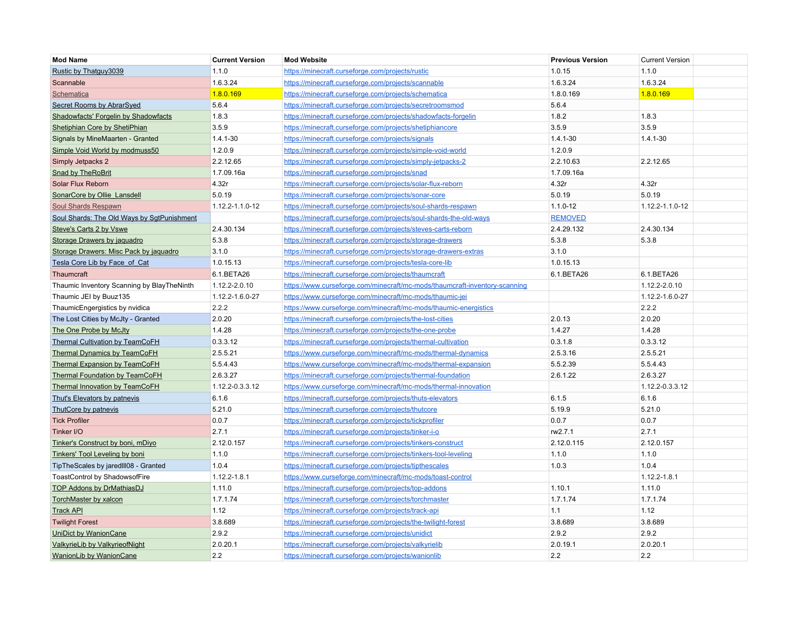| <b>Mod Name</b>                             | <b>Current Version</b> | <b>Mod Website</b>                                                         | <b>Previous Version</b> | <b>Current Version</b> |
|---------------------------------------------|------------------------|----------------------------------------------------------------------------|-------------------------|------------------------|
| Rustic by Thatguy3039                       | 1.1.0                  | https://minecraft.curseforge.com/projects/rustic                           | 1.0.15                  | 1.1.0                  |
| Scannable                                   | 1.6.3.24               | https://minecraft.curseforge.com/projects/scannable                        | 1.6.3.24                | 1.6.3.24               |
| Schematica                                  | 1.8.0.169              | https://minecraft.curseforge.com/projects/schematica                       | 1.8.0.169               | 1.8.0.169              |
| Secret Rooms by AbrarSyed                   | 5.6.4                  | https://minecraft.curseforge.com/projects/secretroomsmod                   | 5.6.4                   |                        |
| <b>Shadowfacts' Forgelin by Shadowfacts</b> | 1.8.3                  | https://minecraft.curseforge.com/projects/shadowfacts-forgelin             | 1.8.2                   | 1.8.3                  |
| Shetiphian Core by ShetiPhian               | 3.5.9                  | https://minecraft.curseforge.com/projects/shetiphiancore                   | 3.5.9                   | 3.5.9                  |
| Signals by MineMaarten - Granted            | $1.4.1 - 30$           | https://minecraft.curseforge.com/projects/signals                          | $1.4.1 - 30$            | $1.4.1 - 30$           |
| Simple Void World by modmuss50              | 1.2.0.9                | https://minecraft.curseforge.com/projects/simple-void-world                | 1.2.0.9                 |                        |
| Simply Jetpacks 2                           | 2.2.12.65              | https://minecraft.curseforge.com/projects/simply-jetpacks-2                | 2.2.10.63               | 2.2.12.65              |
| <b>Snad by TheRoBrit</b>                    | 1.7.09.16a             | https://minecraft.curseforge.com/projects/snad                             | 1.7.09.16a              |                        |
| Solar Flux Reborn                           | 4.32r                  | https://minecraft.curseforge.com/projects/solar-flux-reborn                | 4.32r                   | 4.32r                  |
| SonarCore by Ollie Lansdell                 | 5.0.19                 | https://minecraft.curseforge.com/projects/sonar-core                       | 5.0.19                  | 5.0.19                 |
| Soul Shards Respawn                         | 1.12.2-1.1.0-12        | https://minecraft.curseforge.com/projects/soul-shards-respawn              | $1.1.0 - 12$            | 1.12.2-1.1.0-12        |
| Soul Shards: The Old Ways by SgtPunishment  |                        | https://minecraft.curseforge.com/projects/soul-shards-the-old-ways         | <b>REMOVED</b>          |                        |
| Steve's Carts 2 by Vswe                     | 2.4.30.134             | https://minecraft.curseforge.com/projects/steves-carts-reborn              | 2.4.29.132              | 2.4.30.134             |
| Storage Drawers by jaquadro                 | 5.3.8                  | https://minecraft.curseforge.com/projects/storage-drawers                  | 5.3.8                   | 5.3.8                  |
| Storage Drawers: Misc Pack by jaguadro      | 3.1.0                  | https://minecraft.curseforge.com/projects/storage-drawers-extras           | 3.1.0                   |                        |
| Tesla Core Lib by Face of Cat               | 1.0.15.13              | https://minecraft.curseforge.com/projects/tesla-core-lib                   | 1.0.15.13               |                        |
| Thaumcraft                                  | 6.1.BETA26             | https://minecraft.curseforge.com/projects/thaumcraft                       | 6.1.BETA26              | 6.1.BETA26             |
| Thaumic Inventory Scanning by BlayTheNinth  | 1.12.2-2.0.10          | https://www.curseforge.com/minecraft/mc-mods/thaumcraft-inventory-scanning |                         | 1.12.2-2.0.10          |
| Thaumic JEI by Buuz135                      | 1.12.2-1.6.0-27        | https://www.curseforge.com/minecraft/mc-mods/thaumic-jei                   |                         | 1.12.2-1.6.0-27        |
| ThaumicEngergistics by nvidica              | 2.2.2                  | https://www.curseforge.com/minecraft/mc-mods/thaumic-energistics           |                         | 2.2.2                  |
| The Lost Cities by McJty - Granted          | 2.0.20                 | https://minecraft.curseforge.com/projects/the-lost-cities                  | 2.0.13                  | 2.0.20                 |
| The One Probe by McJty                      | 1.4.28                 | https://minecraft.curseforge.com/projects/the-one-probe                    | 1.4.27                  | 1.4.28                 |
| <b>Thermal Cultivation by TeamCoFH</b>      | 0.3.3.12               | https://minecraft.curseforge.com/projects/thermal-cultivation              | 0.3.1.8                 | 0.3.3.12               |
| <b>Thermal Dynamics by TeamCoFH</b>         | 2.5.5.21               | https://www.curseforge.com/minecraft/mc-mods/thermal-dynamics              | 2.5.3.16                | 2.5.5.21               |
| <b>Thermal Expansion by TeamCoFH</b>        | 5.5.4.43               | https://www.curseforge.com/minecraft/mc-mods/thermal-expansion             | 5.5.2.39                | 5.5.4.43               |
| <b>Thermal Foundation by TeamCoFH</b>       | 2.6.3.27               | https://minecraft.curseforge.com/projects/thermal-foundation               | 2.6.1.22                | 2.6.3.27               |
| Thermal Innovation by TeamCoFH              | 1.12.2-0.3.3.12        | https://www.curseforge.com/minecraft/mc-mods/thermal-innovation            |                         | 1.12.2-0.3.3.12        |
| Thut's Elevators by patnevis                | 6.1.6                  | https://minecraft.curseforge.com/projects/thuts-elevators                  | 6.1.5                   | 6.1.6                  |
| ThutCore by patnevis                        | 5.21.0                 | https://minecraft.curseforge.com/projects/thutcore                         | 5.19.9                  | 5.21.0                 |
| <b>Tick Profiler</b>                        | 0.0.7                  | https://minecraft.curseforge.com/projects/tickprofiler                     | 0.0.7                   | 0.0.7                  |
| Tinker I/O                                  | 2.7.1                  | https://minecraft.curseforge.com/projects/tinker-i-o                       | rw2.7.1                 | 2.7.1                  |
| Tinker's Construct by boni, mDiyo           | 2.12.0.157             | https://minecraft.curseforge.com/projects/tinkers-construct                | 2.12.0.115              | 2.12.0.157             |
| <b>Tinkers' Tool Leveling by boni</b>       | 1.1.0                  | https://minecraft.curseforge.com/projects/tinkers-tool-leveling            | 1.1.0                   | 1.1.0                  |
| TipTheScales by jaredIII08 - Granted        | 1.0.4                  | https://minecraft.curseforge.com/projects/tipthescales                     | 1.0.3                   | 1.0.4                  |
| ToastControl by ShadowsofFire               | 1.12.2-1.8.1           | https://www.curseforge.com/minecraft/mc-mods/toast-control                 |                         | 1.12.2-1.8.1           |
| <b>TOP Addons by DrMathiasDJ</b>            | 1.11.0                 | https://minecraft.curseforge.com/projects/top-addons                       | 1.10.1                  | 1.11.0                 |
| <b>TorchMaster by xalcon</b>                | 1.7.1.74               | https://minecraft.curseforge.com/projects/torchmaster                      | 1.7.1.74                | 1.7.1.74               |
| <b>Track API</b>                            | 1.12                   | https://minecraft.curseforge.com/projects/track-api                        | 1.1                     | 1.12                   |
| <b>Twilight Forest</b>                      | 3.8.689                | https://minecraft.curseforge.com/projects/the-twilight-forest              | 3.8.689                 | 3.8.689                |
| <b>UniDict by WanionCane</b>                | 2.9.2                  | https://minecraft.curseforge.com/projects/unidict                          | 2.9.2                   | 2.9.2                  |
| ValkyrieLib by ValkyrieofNight              | 2.0.20.1               | https://minecraft.curseforge.com/projects/valkyrielib                      | 2.0.19.1                | 2.0.20.1               |
| <b>WanionLib by WanionCane</b>              | 2.2                    | https://minecraft.curseforge.com/projects/wanionlib                        | 2.2                     | 2.2                    |